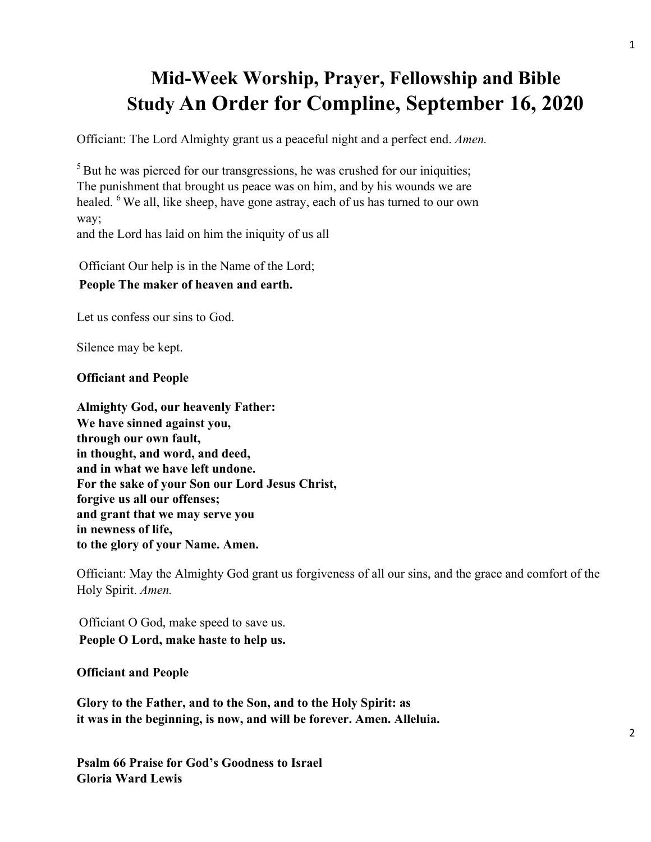# **Mid-Week Worship, Prayer, Fellowship and Bible Study An Order for Compline, September 16, 2020**

Officiant: The Lord Almighty grant us a peaceful night and a perfect end. *Amen.*

<sup>5</sup> But he was pierced for our transgressions, he was crushed for our iniquities; The punishment that brought us peace was on him, and by his wounds we are healed. <sup>6</sup> We all, like sheep, have gone astray, each of us has turned to our own way;

and the Lord has laid on him the iniquity of us all

Officiant Our help is in the Name of the Lord;

## **People The maker of heaven and earth.**

Let us confess our sins to God.

Silence may be kept.

#### **Officiant and People**

**Almighty God, our heavenly Father: We have sinned against you, through our own fault, in thought, and word, and deed, and in what we have left undone. For the sake of your Son our Lord Jesus Christ, forgive us all our offenses; and grant that we may serve you in newness of life, to the glory of your Name. Amen.**

Officiant: May the Almighty God grant us forgiveness of all our sins, and the grace and comfort of the Holy Spirit. *Amen.*

Officiant O God, make speed to save us. **People O Lord, make haste to help us.**

#### **Officiant and People**

**Glory to the Father, and to the Son, and to the Holy Spirit: as it was in the beginning, is now, and will be forever. Amen. Alleluia.**

**Psalm 66 Praise for God's Goodness to Israel Gloria Ward Lewis**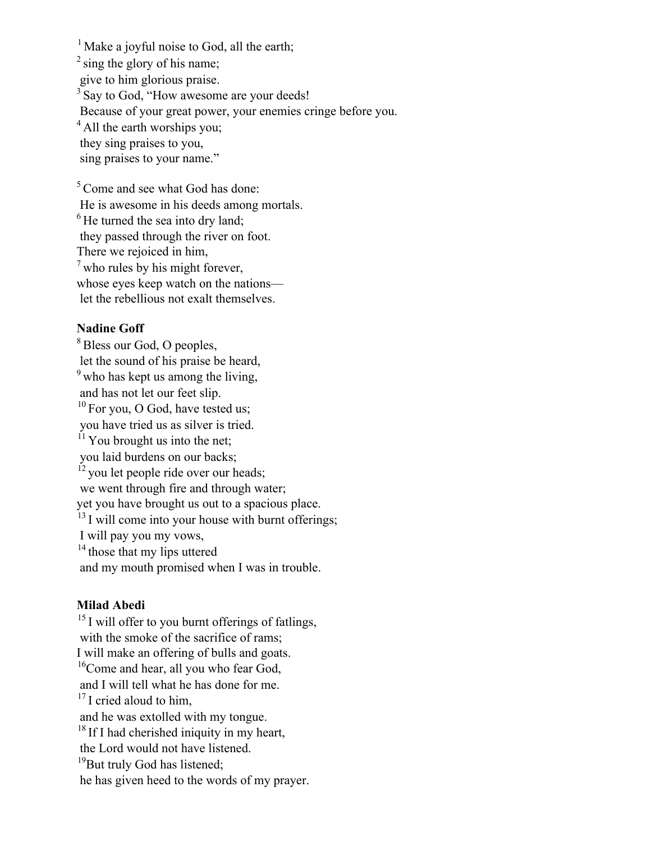<sup>1</sup> Make a joyful noise to God, all the earth;  $2$  sing the glory of his name; give to him glorious praise. <sup>3</sup> Say to God, "How awesome are your deeds! Because of your great power, your enemies cringe before you. <sup>4</sup> All the earth worships you; they sing praises to you, sing praises to your name." <sup>5</sup> Come and see what God has done:

 He is awesome in his deeds among mortals.  $<sup>6</sup>$  He turned the sea into dry land;</sup> they passed through the river on foot. There we rejoiced in him,  $<sup>7</sup>$  who rules by his might forever,</sup> whose eyes keep watch on the nations let the rebellious not exalt themselves.

## **Nadine Goff**

<sup>8</sup> Bless our God, O peoples, let the sound of his praise be heard,  $9$  who has kept us among the living, and has not let our feet slip.  $10$  For you, O God, have tested us; you have tried us as silver is tried.  $11$  You brought us into the net; you laid burdens on our backs;  $12$  you let people ride over our heads; we went through fire and through water; yet you have brought us out to a spacious place.  $13$  I will come into your house with burnt offerings; I will pay you my vows, <sup>14</sup> those that my lips uttered and my mouth promised when I was in trouble.

## **Milad Abedi**

<sup>15</sup> I will offer to you burnt offerings of fatlings, with the smoke of the sacrifice of rams; I will make an offering of bulls and goats. <sup>16</sup>Come and hear, all you who fear God, and I will tell what he has done for me.  $17$  I cried aloud to him, and he was extolled with my tongue. <sup>18</sup> If I had cherished iniquity in my heart, the Lord would not have listened.  $19$ But truly God has listened; he has given heed to the words of my prayer.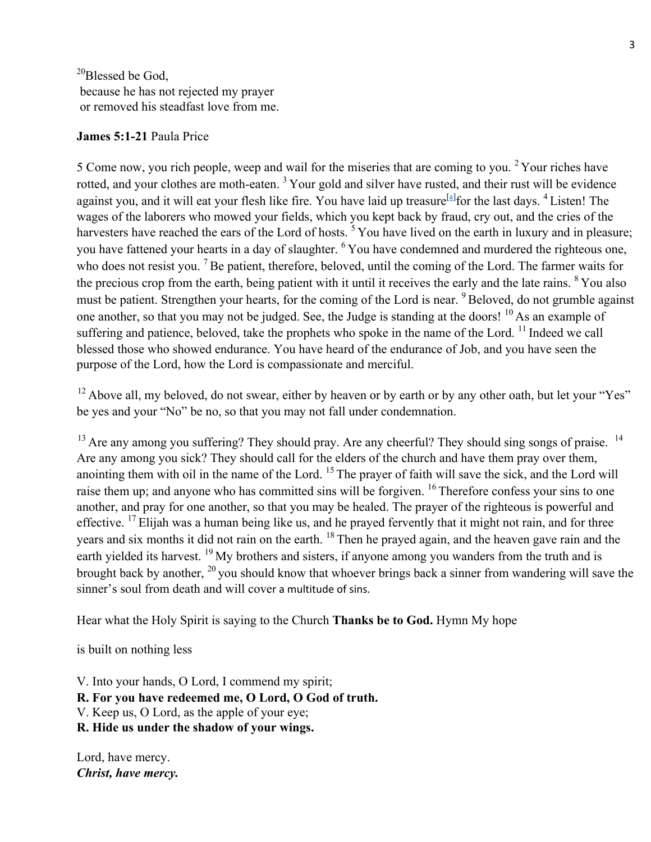<sup>20</sup>Blessed be God, because he has not rejected my prayer or removed his steadfast love from me.

## **James 5:1-21** Paula Price

5 Come now, you rich people, weep and wail for the miseries that are coming to you. <sup>2</sup> Your riches have rotted, and your clothes are moth-eaten.<sup>3</sup> Your gold and silver have rusted, and their rust will be evidence against you, and it will eat your flesh like fire. You have laid up treasure<sup>[a]</sup> for the last days. <sup>4</sup> Listen! The wages of the laborers who mowed your fields, which you kept back by fraud, cry out, and the cries of the harvesters have reached the ears of the Lord of hosts.<sup>5</sup> You have lived on the earth in luxury and in pleasure; you have fattened your hearts in a day of slaughter. <sup>6</sup> You have condemned and murdered the righteous one, who does not resist you. <sup>7</sup> Be patient, therefore, beloved, until the coming of the Lord. The farmer waits for the precious crop from the earth, being patient with it until it receives the early and the late rains. <sup>8</sup> You also must be patient. Strengthen your hearts, for the coming of the Lord is near. <sup>9</sup> Beloved, do not grumble against one another, so that you may not be judged. See, the Judge is standing at the doors! <sup>10</sup> As an example of suffering and patience, beloved, take the prophets who spoke in the name of the Lord. <sup>11</sup> Indeed we call blessed those who showed endurance. You have heard of the endurance of Job, and you have seen the purpose of the Lord, how the Lord is compassionate and merciful.

<sup>12</sup> Above all, my beloved, do not swear, either by heaven or by earth or by any other oath, but let your "Yes" be yes and your "No" be no, so that you may not fall under condemnation.

<sup>13</sup> Are any among you suffering? They should pray. Are any cheerful? They should sing songs of praise. <sup>14</sup> Are any among you sick? They should call for the elders of the church and have them pray over them, anointing them with oil in the name of the Lord. <sup>15</sup> The prayer of faith will save the sick, and the Lord will raise them up; and anyone who has committed sins will be forgiven. <sup>16</sup> Therefore confess your sins to one another, and pray for one another, so that you may be healed. The prayer of the righteous is powerful and effective. <sup>17</sup> Elijah was a human being like us, and he prayed fervently that it might not rain, and for three years and six months it did not rain on the earth. <sup>18</sup> Then he prayed again, and the heaven gave rain and the earth yielded its harvest. <sup>19</sup> My brothers and sisters, if anyone among you wanders from the truth and is brought back by another, <sup>20</sup> you should know that whoever brings back a sinner from wandering will save the sinner's soul from death and will cover a multitude of sins.

Hear what the Holy Spirit is saying to the Church **Thanks be to God.** Hymn My hope

is built on nothing less

V. Into your hands, O Lord, I commend my spirit; **R. For you have redeemed me, O Lord, O God of truth.** V. Keep us, O Lord, as the apple of your eye; **R. Hide us under the shadow of your wings.**

Lord, have mercy. *Christ, have mercy.*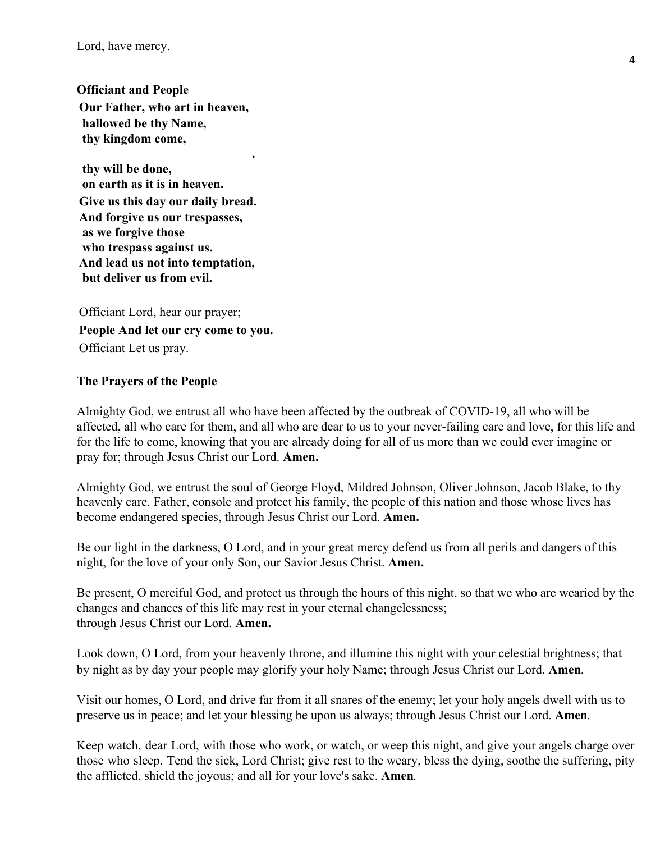Lord, have mercy.

**Officiant and People Our Father, who art in heaven, hallowed be thy Name, thy kingdom come,**

**.**

 **thy will be done, on earth as it is in heaven. Give us this day our daily bread. And forgive us our trespasses, as we forgive those who trespass against us. And lead us not into temptation, but deliver us from evil.**

Officiant Lord, hear our prayer; **People And let our cry come to you.** Officiant Let us pray.

#### **The Prayers of the People**

Almighty God, we entrust all who have been affected by the outbreak of COVID-19, all who will be affected, all who care for them, and all who are dear to us to your never-failing care and love, for this life and for the life to come, knowing that you are already doing for all of us more than we could ever imagine or pray for; through Jesus Christ our Lord. **Amen.**

Almighty God, we entrust the soul of George Floyd, Mildred Johnson, Oliver Johnson, Jacob Blake, to thy heavenly care. Father, console and protect his family, the people of this nation and those whose lives has become endangered species, through Jesus Christ our Lord. **Amen.**

Be our light in the darkness, O Lord, and in your great mercy defend us from all perils and dangers of this night, for the love of your only Son, our Savior Jesus Christ. **Amen.**

Be present, O merciful God, and protect us through the hours of this night, so that we who are wearied by the changes and chances of this life may rest in your eternal changelessness; through Jesus Christ our Lord. **Amen.**

Look down, O Lord, from your heavenly throne, and illumine this night with your celestial brightness; that by night as by day your people may glorify your holy Name; through Jesus Christ our Lord. **Amen***.*

Visit our homes, O Lord, and drive far from it all snares of the enemy; let your holy angels dwell with us to preserve us in peace; and let your blessing be upon us always; through Jesus Christ our Lord. **Amen***.*

Keep watch, dear Lord, with those who work, or watch, or weep this night, and give your angels charge over those who sleep. Tend the sick, Lord Christ; give rest to the weary, bless the dying, soothe the suffering, pity the afflicted, shield the joyous; and all for your love's sake. **Amen***.*